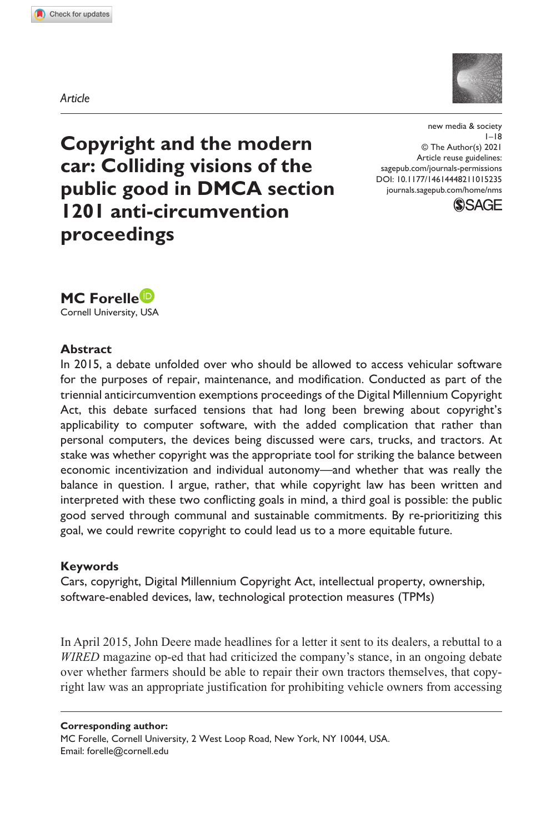*Article*

**1015[235](http://crossmark.crossref.org/dialog/?doi=10.1177%2F14614448211015235&domain=pdf&date_stamp=2021-05-17)** NMS0010.1177/14614448211015235new media & society**Forelle**



**Copyright and the modern car: Colliding visions of the public good in DMCA section 1201 anti-circumvention proceedings**

https://doi.org/10.1177/14614448211015235 DOI: 10.1177/14614448211015235 new media & society  $1 - 18$ © The Author(s) 2021 Article reuse guidelines: [sagepub.com/journals-permissions](https://uk.sagepub.com/en-gb/journals-permissions) [journals.sagepub.com/home/nms](https://journals.sagepub.com/home/nms)



**MC Forelle**

Cornell University, USA

#### **Abstract**

In 2015, a debate unfolded over who should be allowed to access vehicular software for the purposes of repair, maintenance, and modification. Conducted as part of the triennial anticircumvention exemptions proceedings of the Digital Millennium Copyright Act, this debate surfaced tensions that had long been brewing about copyright's applicability to computer software, with the added complication that rather than personal computers, the devices being discussed were cars, trucks, and tractors. At stake was whether copyright was the appropriate tool for striking the balance between economic incentivization and individual autonomy—and whether that was really the balance in question. I argue, rather, that while copyright law has been written and interpreted with these two conflicting goals in mind, a third goal is possible: the public good served through communal and sustainable commitments. By re-prioritizing this goal, we could rewrite copyright to could lead us to a more equitable future.

#### **Keywords**

Cars, copyright, Digital Millennium Copyright Act, intellectual property, ownership, software-enabled devices, law, technological protection measures (TPMs)

In April 2015, John Deere made headlines for a letter it sent to its dealers, a rebuttal to a *WIRED* magazine op-ed that had criticized the company's stance, in an ongoing debate over whether farmers should be able to repair their own tractors themselves, that copyright law was an appropriate justification for prohibiting vehicle owners from accessing

**Corresponding author:** MC Forelle, Cornell University, 2 West Loop Road, New York, NY 10044, USA. Email: [forelle@cornell.edu](mailto:forelle@cornell.edu)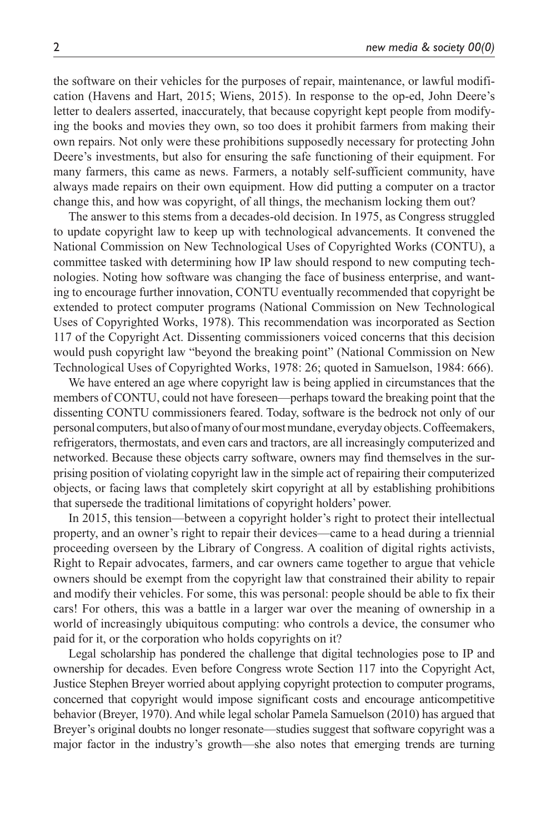the software on their vehicles for the purposes of repair, maintenance, or lawful modification (Havens and Hart, 2015; Wiens, 2015). In response to the op-ed, John Deere's letter to dealers asserted, inaccurately, that because copyright kept people from modifying the books and movies they own, so too does it prohibit farmers from making their own repairs. Not only were these prohibitions supposedly necessary for protecting John Deere's investments, but also for ensuring the safe functioning of their equipment. For many farmers, this came as news. Farmers, a notably self-sufficient community, have always made repairs on their own equipment. How did putting a computer on a tractor change this, and how was copyright, of all things, the mechanism locking them out?

The answer to this stems from a decades-old decision. In 1975, as Congress struggled to update copyright law to keep up with technological advancements. It convened the National Commission on New Technological Uses of Copyrighted Works (CONTU), a committee tasked with determining how IP law should respond to new computing technologies. Noting how software was changing the face of business enterprise, and wanting to encourage further innovation, CONTU eventually recommended that copyright be extended to protect computer programs (National Commission on New Technological Uses of Copyrighted Works, 1978). This recommendation was incorporated as Section 117 of the Copyright Act. Dissenting commissioners voiced concerns that this decision would push copyright law "beyond the breaking point" (National Commission on New Technological Uses of Copyrighted Works, 1978: 26; quoted in Samuelson, 1984: 666).

We have entered an age where copyright law is being applied in circumstances that the members of CONTU, could not have foreseen—perhaps toward the breaking point that the dissenting CONTU commissioners feared. Today, software is the bedrock not only of our personal computers, but also of many of our most mundane, everyday objects. Coffeemakers, refrigerators, thermostats, and even cars and tractors, are all increasingly computerized and networked. Because these objects carry software, owners may find themselves in the surprising position of violating copyright law in the simple act of repairing their computerized objects, or facing laws that completely skirt copyright at all by establishing prohibitions that supersede the traditional limitations of copyright holders' power.

In 2015, this tension—between a copyright holder's right to protect their intellectual property, and an owner's right to repair their devices—came to a head during a triennial proceeding overseen by the Library of Congress. A coalition of digital rights activists, Right to Repair advocates, farmers, and car owners came together to argue that vehicle owners should be exempt from the copyright law that constrained their ability to repair and modify their vehicles. For some, this was personal: people should be able to fix their cars! For others, this was a battle in a larger war over the meaning of ownership in a world of increasingly ubiquitous computing: who controls a device, the consumer who paid for it, or the corporation who holds copyrights on it?

Legal scholarship has pondered the challenge that digital technologies pose to IP and ownership for decades. Even before Congress wrote Section 117 into the Copyright Act, Justice Stephen Breyer worried about applying copyright protection to computer programs, concerned that copyright would impose significant costs and encourage anticompetitive behavior (Breyer, 1970). And while legal scholar Pamela Samuelson (2010) has argued that Breyer's original doubts no longer resonate—studies suggest that software copyright was a major factor in the industry's growth—she also notes that emerging trends are turning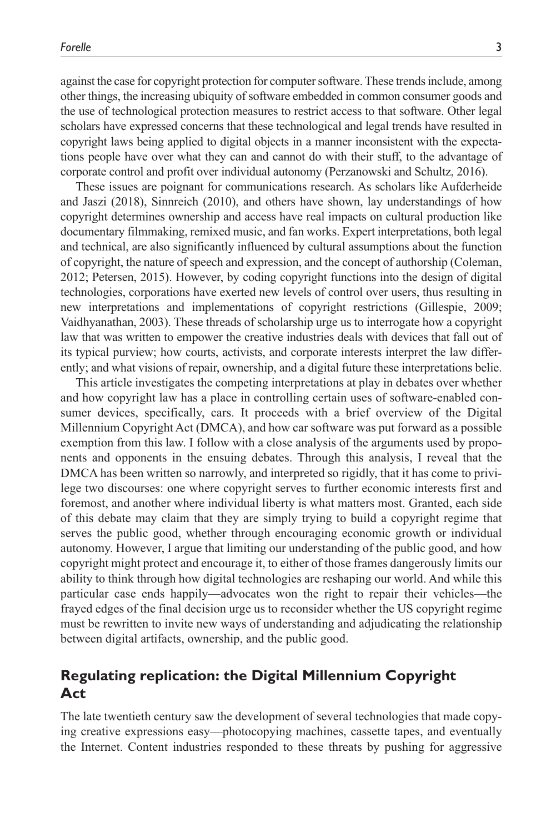against the case for copyright protection for computer software. These trends include, among other things, the increasing ubiquity of software embedded in common consumer goods and the use of technological protection measures to restrict access to that software. Other legal scholars have expressed concerns that these technological and legal trends have resulted in copyright laws being applied to digital objects in a manner inconsistent with the expectations people have over what they can and cannot do with their stuff, to the advantage of corporate control and profit over individual autonomy (Perzanowski and Schultz, 2016).

These issues are poignant for communications research. As scholars like Aufderheide and Jaszi (2018), Sinnreich (2010), and others have shown, lay understandings of how copyright determines ownership and access have real impacts on cultural production like documentary filmmaking, remixed music, and fan works. Expert interpretations, both legal and technical, are also significantly influenced by cultural assumptions about the function of copyright, the nature of speech and expression, and the concept of authorship (Coleman, 2012; Petersen, 2015). However, by coding copyright functions into the design of digital technologies, corporations have exerted new levels of control over users, thus resulting in new interpretations and implementations of copyright restrictions (Gillespie, 2009; Vaidhyanathan, 2003). These threads of scholarship urge us to interrogate how a copyright law that was written to empower the creative industries deals with devices that fall out of its typical purview; how courts, activists, and corporate interests interpret the law differently; and what visions of repair, ownership, and a digital future these interpretations belie.

This article investigates the competing interpretations at play in debates over whether and how copyright law has a place in controlling certain uses of software-enabled consumer devices, specifically, cars. It proceeds with a brief overview of the Digital Millennium Copyright Act (DMCA), and how car software was put forward as a possible exemption from this law. I follow with a close analysis of the arguments used by proponents and opponents in the ensuing debates. Through this analysis, I reveal that the DMCA has been written so narrowly, and interpreted so rigidly, that it has come to privilege two discourses: one where copyright serves to further economic interests first and foremost, and another where individual liberty is what matters most. Granted, each side of this debate may claim that they are simply trying to build a copyright regime that serves the public good, whether through encouraging economic growth or individual autonomy. However, I argue that limiting our understanding of the public good, and how copyright might protect and encourage it, to either of those frames dangerously limits our ability to think through how digital technologies are reshaping our world. And while this particular case ends happily—advocates won the right to repair their vehicles—the frayed edges of the final decision urge us to reconsider whether the US copyright regime must be rewritten to invite new ways of understanding and adjudicating the relationship between digital artifacts, ownership, and the public good.

# **Regulating replication: the Digital Millennium Copyright Act**

The late twentieth century saw the development of several technologies that made copying creative expressions easy—photocopying machines, cassette tapes, and eventually the Internet. Content industries responded to these threats by pushing for aggressive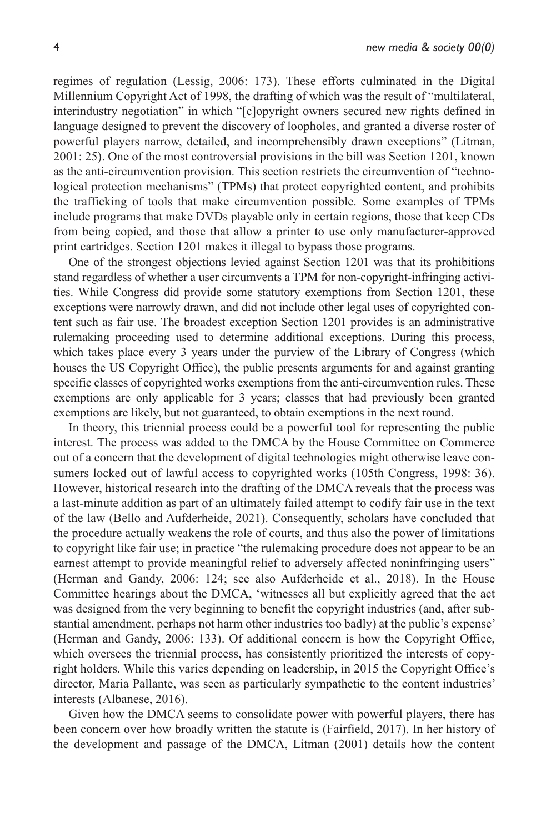regimes of regulation (Lessig, 2006: 173). These efforts culminated in the Digital Millennium Copyright Act of 1998, the drafting of which was the result of "multilateral, interindustry negotiation" in which "[c]opyright owners secured new rights defined in language designed to prevent the discovery of loopholes, and granted a diverse roster of powerful players narrow, detailed, and incomprehensibly drawn exceptions" (Litman, 2001: 25). One of the most controversial provisions in the bill was Section 1201, known as the anti-circumvention provision. This section restricts the circumvention of "technological protection mechanisms" (TPMs) that protect copyrighted content, and prohibits the trafficking of tools that make circumvention possible. Some examples of TPMs include programs that make DVDs playable only in certain regions, those that keep CDs from being copied, and those that allow a printer to use only manufacturer-approved print cartridges. Section 1201 makes it illegal to bypass those programs.

One of the strongest objections levied against Section 1201 was that its prohibitions stand regardless of whether a user circumvents a TPM for non-copyright-infringing activities. While Congress did provide some statutory exemptions from Section 1201, these exceptions were narrowly drawn, and did not include other legal uses of copyrighted content such as fair use. The broadest exception Section 1201 provides is an administrative rulemaking proceeding used to determine additional exceptions. During this process, which takes place every 3 years under the purview of the Library of Congress (which houses the US Copyright Office), the public presents arguments for and against granting specific classes of copyrighted works exemptions from the anti-circumvention rules. These exemptions are only applicable for 3 years; classes that had previously been granted exemptions are likely, but not guaranteed, to obtain exemptions in the next round.

In theory, this triennial process could be a powerful tool for representing the public interest. The process was added to the DMCA by the House Committee on Commerce out of a concern that the development of digital technologies might otherwise leave consumers locked out of lawful access to copyrighted works (105th Congress, 1998: 36). However, historical research into the drafting of the DMCA reveals that the process was a last-minute addition as part of an ultimately failed attempt to codify fair use in the text of the law (Bello and Aufderheide, 2021). Consequently, scholars have concluded that the procedure actually weakens the role of courts, and thus also the power of limitations to copyright like fair use; in practice "the rulemaking procedure does not appear to be an earnest attempt to provide meaningful relief to adversely affected noninfringing users" (Herman and Gandy, 2006: 124; see also Aufderheide et al., 2018). In the House Committee hearings about the DMCA, 'witnesses all but explicitly agreed that the act was designed from the very beginning to benefit the copyright industries (and, after substantial amendment, perhaps not harm other industries too badly) at the public's expense' (Herman and Gandy, 2006: 133). Of additional concern is how the Copyright Office, which oversees the triennial process, has consistently prioritized the interests of copyright holders. While this varies depending on leadership, in 2015 the Copyright Office's director, Maria Pallante, was seen as particularly sympathetic to the content industries' interests (Albanese, 2016).

Given how the DMCA seems to consolidate power with powerful players, there has been concern over how broadly written the statute is (Fairfield, 2017). In her history of the development and passage of the DMCA, Litman (2001) details how the content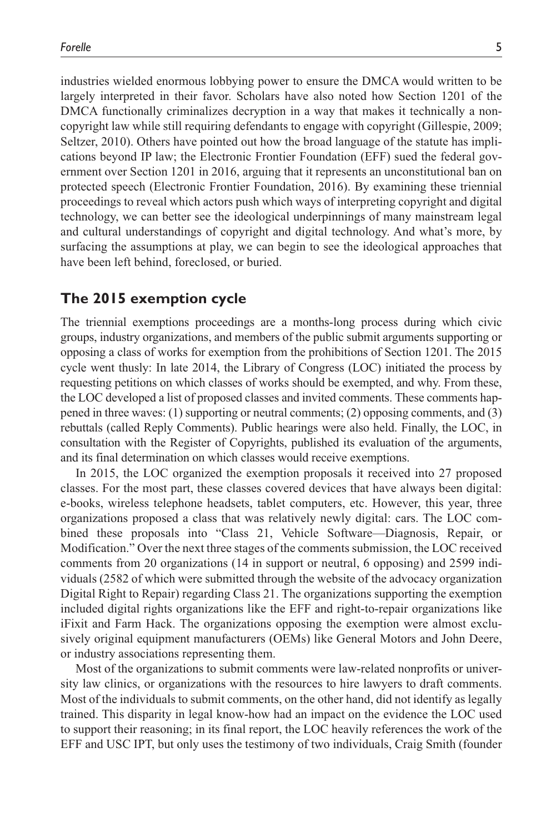industries wielded enormous lobbying power to ensure the DMCA would written to be largely interpreted in their favor. Scholars have also noted how Section 1201 of the DMCA functionally criminalizes decryption in a way that makes it technically a noncopyright law while still requiring defendants to engage with copyright (Gillespie, 2009; Seltzer, 2010). Others have pointed out how the broad language of the statute has implications beyond IP law; the Electronic Frontier Foundation (EFF) sued the federal government over Section 1201 in 2016, arguing that it represents an unconstitutional ban on protected speech (Electronic Frontier Foundation, 2016). By examining these triennial proceedings to reveal which actors push which ways of interpreting copyright and digital technology, we can better see the ideological underpinnings of many mainstream legal and cultural understandings of copyright and digital technology. And what's more, by surfacing the assumptions at play, we can begin to see the ideological approaches that have been left behind, foreclosed, or buried.

# **The 2015 exemption cycle**

The triennial exemptions proceedings are a months-long process during which civic groups, industry organizations, and members of the public submit arguments supporting or opposing a class of works for exemption from the prohibitions of Section 1201. The 2015 cycle went thusly: In late 2014, the Library of Congress (LOC) initiated the process by requesting petitions on which classes of works should be exempted, and why. From these, the LOC developed a list of proposed classes and invited comments. These comments happened in three waves: (1) supporting or neutral comments; (2) opposing comments, and (3) rebuttals (called Reply Comments). Public hearings were also held. Finally, the LOC, in consultation with the Register of Copyrights, published its evaluation of the arguments, and its final determination on which classes would receive exemptions.

In 2015, the LOC organized the exemption proposals it received into 27 proposed classes. For the most part, these classes covered devices that have always been digital: e-books, wireless telephone headsets, tablet computers, etc. However, this year, three organizations proposed a class that was relatively newly digital: cars. The LOC combined these proposals into "Class 21, Vehicle Software—Diagnosis, Repair, or Modification." Over the next three stages of the comments submission, the LOC received comments from 20 organizations (14 in support or neutral, 6 opposing) and 2599 individuals (2582 of which were submitted through the website of the advocacy organization Digital Right to Repair) regarding Class 21. The organizations supporting the exemption included digital rights organizations like the EFF and right-to-repair organizations like iFixit and Farm Hack. The organizations opposing the exemption were almost exclusively original equipment manufacturers (OEMs) like General Motors and John Deere, or industry associations representing them.

Most of the organizations to submit comments were law-related nonprofits or university law clinics, or organizations with the resources to hire lawyers to draft comments. Most of the individuals to submit comments, on the other hand, did not identify as legally trained. This disparity in legal know-how had an impact on the evidence the LOC used to support their reasoning; in its final report, the LOC heavily references the work of the EFF and USC IPT, but only uses the testimony of two individuals, Craig Smith (founder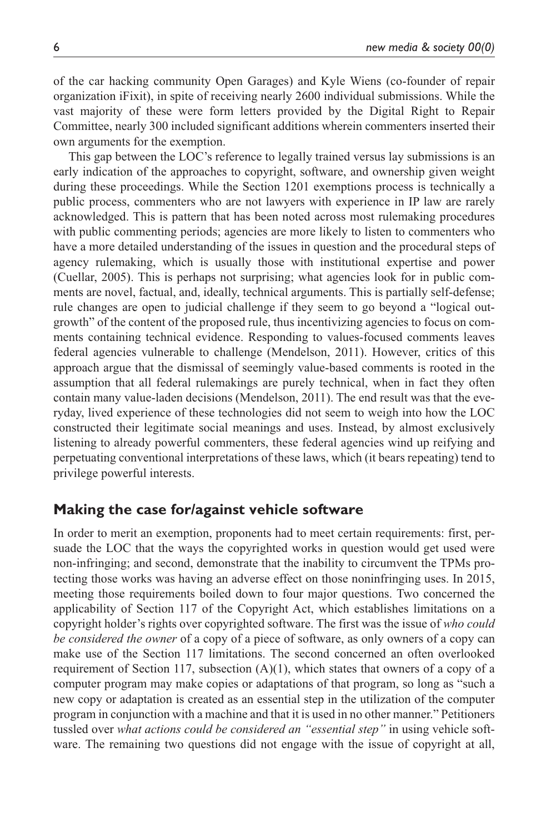of the car hacking community Open Garages) and Kyle Wiens (co-founder of repair organization iFixit), in spite of receiving nearly 2600 individual submissions. While the vast majority of these were form letters provided by the Digital Right to Repair Committee, nearly 300 included significant additions wherein commenters inserted their own arguments for the exemption.

This gap between the LOC's reference to legally trained versus lay submissions is an early indication of the approaches to copyright, software, and ownership given weight during these proceedings. While the Section 1201 exemptions process is technically a public process, commenters who are not lawyers with experience in IP law are rarely acknowledged. This is pattern that has been noted across most rulemaking procedures with public commenting periods; agencies are more likely to listen to commenters who have a more detailed understanding of the issues in question and the procedural steps of agency rulemaking, which is usually those with institutional expertise and power (Cuellar, 2005). This is perhaps not surprising; what agencies look for in public comments are novel, factual, and, ideally, technical arguments. This is partially self-defense; rule changes are open to judicial challenge if they seem to go beyond a "logical outgrowth" of the content of the proposed rule, thus incentivizing agencies to focus on comments containing technical evidence. Responding to values-focused comments leaves federal agencies vulnerable to challenge (Mendelson, 2011). However, critics of this approach argue that the dismissal of seemingly value-based comments is rooted in the assumption that all federal rulemakings are purely technical, when in fact they often contain many value-laden decisions (Mendelson, 2011). The end result was that the everyday, lived experience of these technologies did not seem to weigh into how the LOC constructed their legitimate social meanings and uses. Instead, by almost exclusively listening to already powerful commenters, these federal agencies wind up reifying and perpetuating conventional interpretations of these laws, which (it bears repeating) tend to privilege powerful interests.

## **Making the case for/against vehicle software**

In order to merit an exemption, proponents had to meet certain requirements: first, persuade the LOC that the ways the copyrighted works in question would get used were non-infringing; and second, demonstrate that the inability to circumvent the TPMs protecting those works was having an adverse effect on those noninfringing uses. In 2015, meeting those requirements boiled down to four major questions. Two concerned the applicability of Section 117 of the Copyright Act, which establishes limitations on a copyright holder's rights over copyrighted software. The first was the issue of *who could be considered the owner* of a copy of a piece of software, as only owners of a copy can make use of the Section 117 limitations. The second concerned an often overlooked requirement of Section 117, subsection  $(A)(1)$ , which states that owners of a copy of a computer program may make copies or adaptations of that program, so long as "such a new copy or adaptation is created as an essential step in the utilization of the computer program in conjunction with a machine and that it is used in no other manner." Petitioners tussled over *what actions could be considered an "essential step"* in using vehicle software. The remaining two questions did not engage with the issue of copyright at all,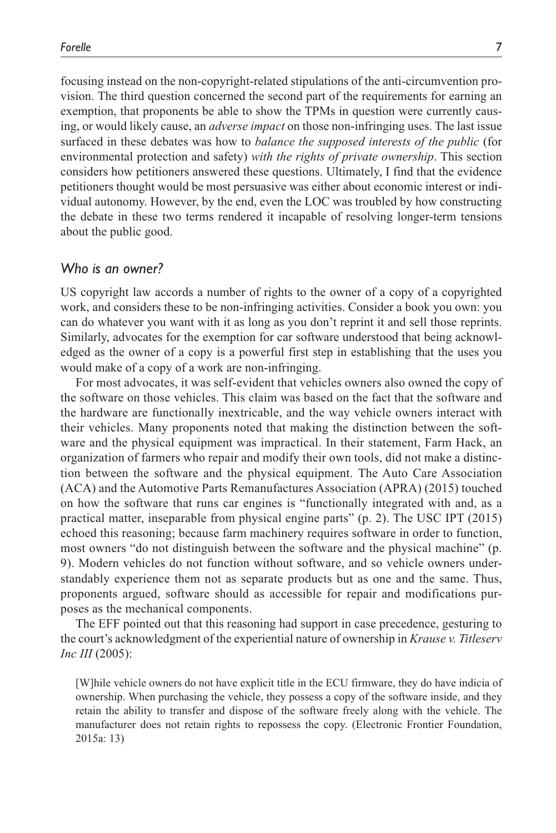focusing instead on the non-copyright-related stipulations of the anti-circumvention provision. The third question concerned the second part of the requirements for earning an exemption, that proponents be able to show the TPMs in question were currently causing, or would likely cause, an *adverse impact* on those non-infringing uses. The last issue surfaced in these debates was how to *balance the supposed interests of the public* (for environmental protection and safety) *with the rights of private ownership*. This section considers how petitioners answered these questions. Ultimately, I find that the evidence petitioners thought would be most persuasive was either about economic interest or individual autonomy. However, by the end, even the LOC was troubled by how constructing the debate in these two terms rendered it incapable of resolving longer-term tensions about the public good.

## *Who is an owner?*

US copyright law accords a number of rights to the owner of a copy of a copyrighted work, and considers these to be non-infringing activities. Consider a book you own: you can do whatever you want with it as long as you don't reprint it and sell those reprints. Similarly, advocates for the exemption for car software understood that being acknowledged as the owner of a copy is a powerful first step in establishing that the uses you would make of a copy of a work are non-infringing.

For most advocates, it was self-evident that vehicles owners also owned the copy of the software on those vehicles. This claim was based on the fact that the software and the hardware are functionally inextricable, and the way vehicle owners interact with their vehicles. Many proponents noted that making the distinction between the software and the physical equipment was impractical. In their statement, Farm Hack, an organization of farmers who repair and modify their own tools, did not make a distinction between the software and the physical equipment. The Auto Care Association (ACA) and the Automotive Parts Remanufactures Association (APRA) (2015) touched on how the software that runs car engines is "functionally integrated with and, as a practical matter, inseparable from physical engine parts" (p. 2). The USC IPT (2015) echoed this reasoning; because farm machinery requires software in order to function, most owners "do not distinguish between the software and the physical machine" (p. 9). Modern vehicles do not function without software, and so vehicle owners understandably experience them not as separate products but as one and the same. Thus, proponents argued, software should as accessible for repair and modifications purposes as the mechanical components.

The EFF pointed out that this reasoning had support in case precedence, gesturing to the court's acknowledgment of the experiential nature of ownership in *Krause v. Titleserv Inc III* (2005):

[W]hile vehicle owners do not have explicit title in the ECU firmware, they do have indicia of ownership. When purchasing the vehicle, they possess a copy of the software inside, and they retain the ability to transfer and dispose of the software freely along with the vehicle. The manufacturer does not retain rights to repossess the copy. (Electronic Frontier Foundation, 2015a: 13)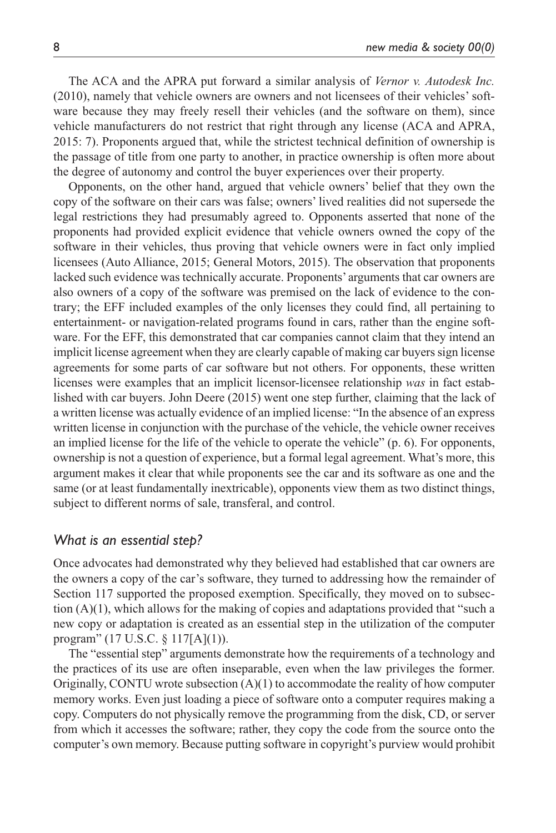The ACA and the APRA put forward a similar analysis of *Vernor v. Autodesk Inc.* (2010), namely that vehicle owners are owners and not licensees of their vehicles' software because they may freely resell their vehicles (and the software on them), since vehicle manufacturers do not restrict that right through any license (ACA and APRA, 2015: 7). Proponents argued that, while the strictest technical definition of ownership is the passage of title from one party to another, in practice ownership is often more about the degree of autonomy and control the buyer experiences over their property.

Opponents, on the other hand, argued that vehicle owners' belief that they own the copy of the software on their cars was false; owners' lived realities did not supersede the legal restrictions they had presumably agreed to. Opponents asserted that none of the proponents had provided explicit evidence that vehicle owners owned the copy of the software in their vehicles, thus proving that vehicle owners were in fact only implied licensees (Auto Alliance, 2015; General Motors, 2015). The observation that proponents lacked such evidence was technically accurate. Proponents' arguments that car owners are also owners of a copy of the software was premised on the lack of evidence to the contrary; the EFF included examples of the only licenses they could find, all pertaining to entertainment- or navigation-related programs found in cars, rather than the engine software. For the EFF, this demonstrated that car companies cannot claim that they intend an implicit license agreement when they are clearly capable of making car buyers sign license agreements for some parts of car software but not others. For opponents, these written licenses were examples that an implicit licensor-licensee relationship *was* in fact established with car buyers. John Deere (2015) went one step further, claiming that the lack of a written license was actually evidence of an implied license: "In the absence of an express written license in conjunction with the purchase of the vehicle, the vehicle owner receives an implied license for the life of the vehicle to operate the vehicle" (p. 6). For opponents, ownership is not a question of experience, but a formal legal agreement. What's more, this argument makes it clear that while proponents see the car and its software as one and the same (or at least fundamentally inextricable), opponents view them as two distinct things, subject to different norms of sale, transferal, and control.

## *What is an essential step?*

Once advocates had demonstrated why they believed had established that car owners are the owners a copy of the car's software, they turned to addressing how the remainder of Section 117 supported the proposed exemption. Specifically, they moved on to subsection (A)(1), which allows for the making of copies and adaptations provided that "such a new copy or adaptation is created as an essential step in the utilization of the computer program" (17 U.S.C. § 117[A](1)).

The "essential step" arguments demonstrate how the requirements of a technology and the practices of its use are often inseparable, even when the law privileges the former. Originally, CONTU wrote subsection  $(A)(1)$  to accommodate the reality of how computer memory works. Even just loading a piece of software onto a computer requires making a copy. Computers do not physically remove the programming from the disk, CD, or server from which it accesses the software; rather, they copy the code from the source onto the computer's own memory. Because putting software in copyright's purview would prohibit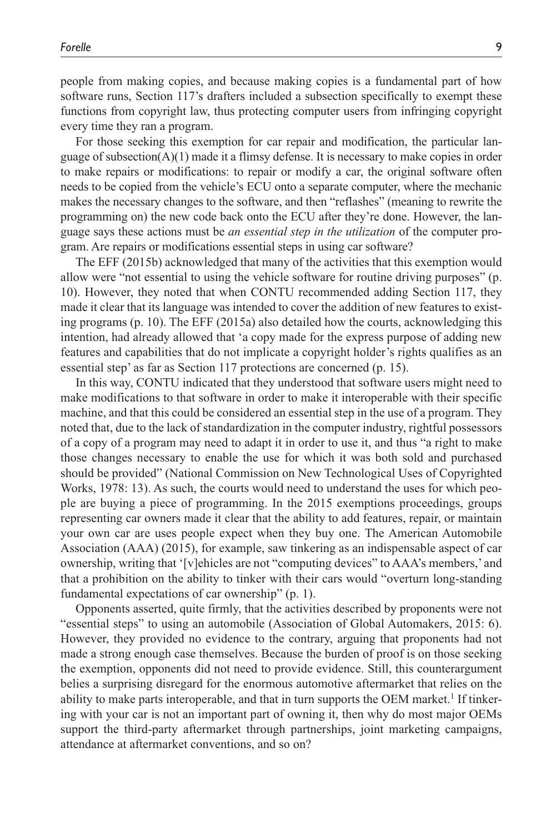people from making copies, and because making copies is a fundamental part of how software runs, Section 117's drafters included a subsection specifically to exempt these functions from copyright law, thus protecting computer users from infringing copyright every time they ran a program.

For those seeking this exemption for car repair and modification, the particular language of subsection( $A$ )(1) made it a flimsy defense. It is necessary to make copies in order to make repairs or modifications: to repair or modify a car, the original software often needs to be copied from the vehicle's ECU onto a separate computer, where the mechanic makes the necessary changes to the software, and then "reflashes" (meaning to rewrite the programming on) the new code back onto the ECU after they're done. However, the language says these actions must be *an essential step in the utilization* of the computer program. Are repairs or modifications essential steps in using car software?

The EFF (2015b) acknowledged that many of the activities that this exemption would allow were "not essential to using the vehicle software for routine driving purposes" (p. 10). However, they noted that when CONTU recommended adding Section 117, they made it clear that its language was intended to cover the addition of new features to existing programs (p. 10). The EFF (2015a) also detailed how the courts, acknowledging this intention, had already allowed that 'a copy made for the express purpose of adding new features and capabilities that do not implicate a copyright holder's rights qualifies as an essential step' as far as Section 117 protections are concerned (p. 15).

In this way, CONTU indicated that they understood that software users might need to make modifications to that software in order to make it interoperable with their specific machine, and that this could be considered an essential step in the use of a program. They noted that, due to the lack of standardization in the computer industry, rightful possessors of a copy of a program may need to adapt it in order to use it, and thus "a right to make those changes necessary to enable the use for which it was both sold and purchased should be provided" (National Commission on New Technological Uses of Copyrighted Works, 1978: 13). As such, the courts would need to understand the uses for which people are buying a piece of programming. In the 2015 exemptions proceedings, groups representing car owners made it clear that the ability to add features, repair, or maintain your own car are uses people expect when they buy one. The American Automobile Association (AAA) (2015), for example, saw tinkering as an indispensable aspect of car ownership, writing that '[v]ehicles are not "computing devices" to AAA's members,' and that a prohibition on the ability to tinker with their cars would "overturn long-standing fundamental expectations of car ownership" (p. 1).

Opponents asserted, quite firmly, that the activities described by proponents were not "essential steps" to using an automobile (Association of Global Automakers, 2015: 6). However, they provided no evidence to the contrary, arguing that proponents had not made a strong enough case themselves. Because the burden of proof is on those seeking the exemption, opponents did not need to provide evidence. Still, this counterargument belies a surprising disregard for the enormous automotive aftermarket that relies on the ability to make parts interoperable, and that in turn supports the OEM market.<sup>1</sup> If tinkering with your car is not an important part of owning it, then why do most major OEMs support the third-party aftermarket through partnerships, joint marketing campaigns, attendance at aftermarket conventions, and so on?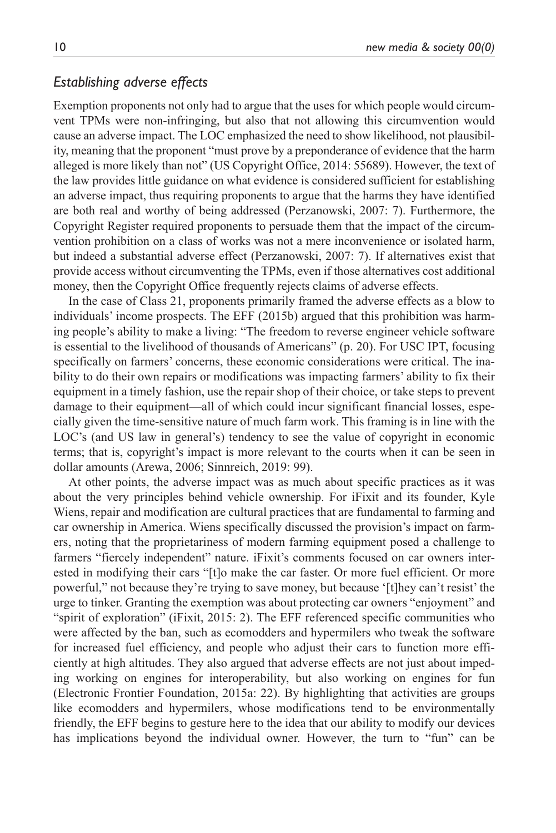## *Establishing adverse effects*

Exemption proponents not only had to argue that the uses for which people would circumvent TPMs were non-infringing, but also that not allowing this circumvention would cause an adverse impact. The LOC emphasized the need to show likelihood, not plausibility, meaning that the proponent "must prove by a preponderance of evidence that the harm alleged is more likely than not" (US Copyright Office, 2014: 55689). However, the text of the law provides little guidance on what evidence is considered sufficient for establishing an adverse impact, thus requiring proponents to argue that the harms they have identified are both real and worthy of being addressed (Perzanowski, 2007: 7). Furthermore, the Copyright Register required proponents to persuade them that the impact of the circumvention prohibition on a class of works was not a mere inconvenience or isolated harm, but indeed a substantial adverse effect (Perzanowski, 2007: 7). If alternatives exist that provide access without circumventing the TPMs, even if those alternatives cost additional money, then the Copyright Office frequently rejects claims of adverse effects.

In the case of Class 21, proponents primarily framed the adverse effects as a blow to individuals' income prospects. The EFF (2015b) argued that this prohibition was harming people's ability to make a living: "The freedom to reverse engineer vehicle software is essential to the livelihood of thousands of Americans" (p. 20). For USC IPT, focusing specifically on farmers' concerns, these economic considerations were critical. The inability to do their own repairs or modifications was impacting farmers' ability to fix their equipment in a timely fashion, use the repair shop of their choice, or take steps to prevent damage to their equipment—all of which could incur significant financial losses, especially given the time-sensitive nature of much farm work. This framing is in line with the LOC's (and US law in general's) tendency to see the value of copyright in economic terms; that is, copyright's impact is more relevant to the courts when it can be seen in dollar amounts (Arewa, 2006; Sinnreich, 2019: 99).

At other points, the adverse impact was as much about specific practices as it was about the very principles behind vehicle ownership. For iFixit and its founder, Kyle Wiens, repair and modification are cultural practices that are fundamental to farming and car ownership in America. Wiens specifically discussed the provision's impact on farmers, noting that the proprietariness of modern farming equipment posed a challenge to farmers "fiercely independent" nature. iFixit's comments focused on car owners interested in modifying their cars "[t]o make the car faster. Or more fuel efficient. Or more powerful," not because they're trying to save money, but because '[t]hey can't resist' the urge to tinker. Granting the exemption was about protecting car owners "enjoyment" and "spirit of exploration" (iFixit, 2015: 2). The EFF referenced specific communities who were affected by the ban, such as ecomodders and hypermilers who tweak the software for increased fuel efficiency, and people who adjust their cars to function more efficiently at high altitudes. They also argued that adverse effects are not just about impeding working on engines for interoperability, but also working on engines for fun (Electronic Frontier Foundation, 2015a: 22). By highlighting that activities are groups like ecomodders and hypermilers, whose modifications tend to be environmentally friendly, the EFF begins to gesture here to the idea that our ability to modify our devices has implications beyond the individual owner. However, the turn to "fun" can be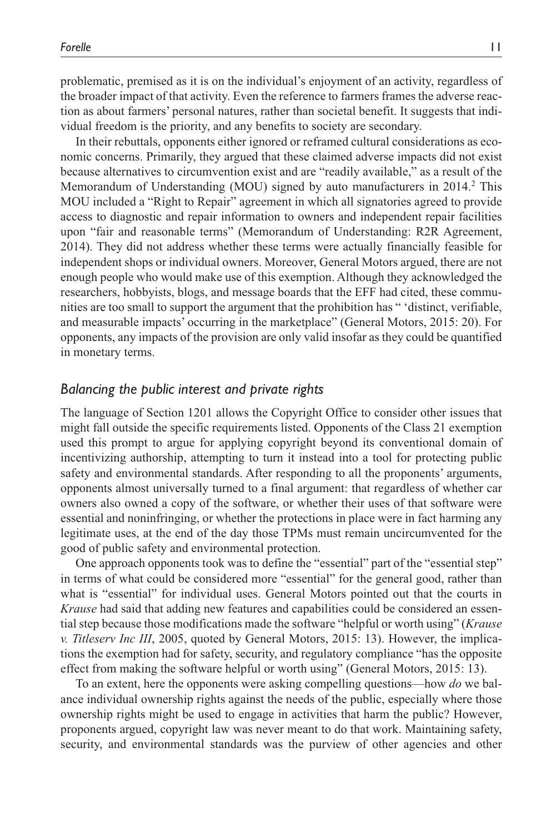problematic, premised as it is on the individual's enjoyment of an activity, regardless of the broader impact of that activity. Even the reference to farmers frames the adverse reaction as about farmers' personal natures, rather than societal benefit. It suggests that individual freedom is the priority, and any benefits to society are secondary.

In their rebuttals, opponents either ignored or reframed cultural considerations as economic concerns. Primarily, they argued that these claimed adverse impacts did not exist because alternatives to circumvention exist and are "readily available," as a result of the Memorandum of Understanding (MOU) signed by auto manufacturers in 2014.<sup>2</sup> This MOU included a "Right to Repair" agreement in which all signatories agreed to provide access to diagnostic and repair information to owners and independent repair facilities upon "fair and reasonable terms" (Memorandum of Understanding: R2R Agreement, 2014). They did not address whether these terms were actually financially feasible for independent shops or individual owners. Moreover, General Motors argued, there are not enough people who would make use of this exemption. Although they acknowledged the researchers, hobbyists, blogs, and message boards that the EFF had cited, these communities are too small to support the argument that the prohibition has " 'distinct, verifiable, and measurable impacts' occurring in the marketplace" (General Motors, 2015: 20). For opponents, any impacts of the provision are only valid insofar as they could be quantified in monetary terms.

## *Balancing the public interest and private rights*

The language of Section 1201 allows the Copyright Office to consider other issues that might fall outside the specific requirements listed. Opponents of the Class 21 exemption used this prompt to argue for applying copyright beyond its conventional domain of incentivizing authorship, attempting to turn it instead into a tool for protecting public safety and environmental standards. After responding to all the proponents' arguments, opponents almost universally turned to a final argument: that regardless of whether car owners also owned a copy of the software, or whether their uses of that software were essential and noninfringing, or whether the protections in place were in fact harming any legitimate uses, at the end of the day those TPMs must remain uncircumvented for the good of public safety and environmental protection.

One approach opponents took was to define the "essential" part of the "essential step" in terms of what could be considered more "essential" for the general good, rather than what is "essential" for individual uses. General Motors pointed out that the courts in *Krause* had said that adding new features and capabilities could be considered an essential step because those modifications made the software "helpful or worth using" (*Krause v. Titleserv Inc III*, 2005, quoted by General Motors, 2015: 13). However, the implications the exemption had for safety, security, and regulatory compliance "has the opposite effect from making the software helpful or worth using" (General Motors, 2015: 13).

To an extent, here the opponents were asking compelling questions—how *do* we balance individual ownership rights against the needs of the public, especially where those ownership rights might be used to engage in activities that harm the public? However, proponents argued, copyright law was never meant to do that work. Maintaining safety, security, and environmental standards was the purview of other agencies and other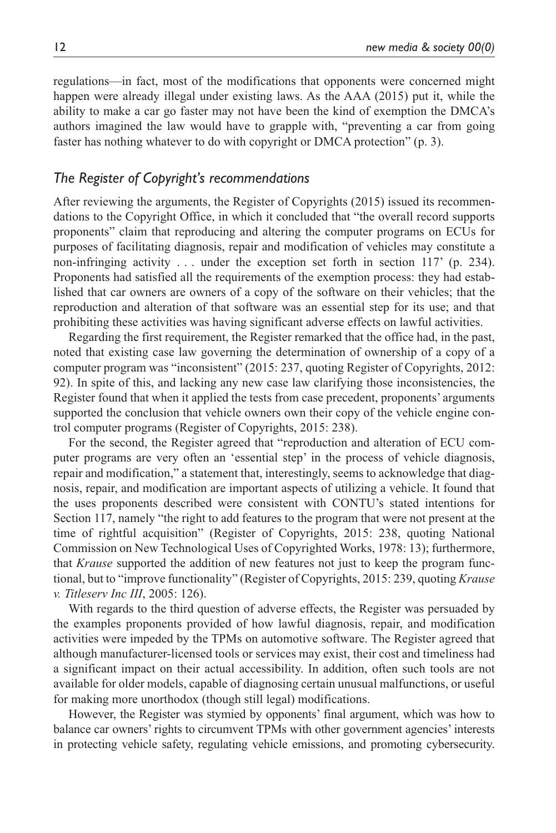regulations—in fact, most of the modifications that opponents were concerned might happen were already illegal under existing laws. As the AAA (2015) put it, while the ability to make a car go faster may not have been the kind of exemption the DMCA's authors imagined the law would have to grapple with, "preventing a car from going faster has nothing whatever to do with copyright or DMCA protection" (p. 3).

## *The Register of Copyright's recommendations*

After reviewing the arguments, the Register of Copyrights (2015) issued its recommendations to the Copyright Office, in which it concluded that "the overall record supports proponents" claim that reproducing and altering the computer programs on ECUs for purposes of facilitating diagnosis, repair and modification of vehicles may constitute a non-infringing activity . . . under the exception set forth in section 117' (p. 234). Proponents had satisfied all the requirements of the exemption process: they had established that car owners are owners of a copy of the software on their vehicles; that the reproduction and alteration of that software was an essential step for its use; and that prohibiting these activities was having significant adverse effects on lawful activities.

Regarding the first requirement, the Register remarked that the office had, in the past, noted that existing case law governing the determination of ownership of a copy of a computer program was "inconsistent" (2015: 237, quoting Register of Copyrights, 2012: 92). In spite of this, and lacking any new case law clarifying those inconsistencies, the Register found that when it applied the tests from case precedent, proponents' arguments supported the conclusion that vehicle owners own their copy of the vehicle engine control computer programs (Register of Copyrights, 2015: 238).

For the second, the Register agreed that "reproduction and alteration of ECU computer programs are very often an 'essential step' in the process of vehicle diagnosis, repair and modification," a statement that, interestingly, seems to acknowledge that diagnosis, repair, and modification are important aspects of utilizing a vehicle. It found that the uses proponents described were consistent with CONTU's stated intentions for Section 117, namely "the right to add features to the program that were not present at the time of rightful acquisition" (Register of Copyrights, 2015: 238, quoting National Commission on New Technological Uses of Copyrighted Works, 1978: 13); furthermore, that *Krause* supported the addition of new features not just to keep the program functional, but to "improve functionality" (Register of Copyrights, 2015: 239, quoting *Krause v. Titleserv Inc III*, 2005: 126).

With regards to the third question of adverse effects, the Register was persuaded by the examples proponents provided of how lawful diagnosis, repair, and modification activities were impeded by the TPMs on automotive software. The Register agreed that although manufacturer-licensed tools or services may exist, their cost and timeliness had a significant impact on their actual accessibility. In addition, often such tools are not available for older models, capable of diagnosing certain unusual malfunctions, or useful for making more unorthodox (though still legal) modifications.

However, the Register was stymied by opponents' final argument, which was how to balance car owners' rights to circumvent TPMs with other government agencies' interests in protecting vehicle safety, regulating vehicle emissions, and promoting cybersecurity.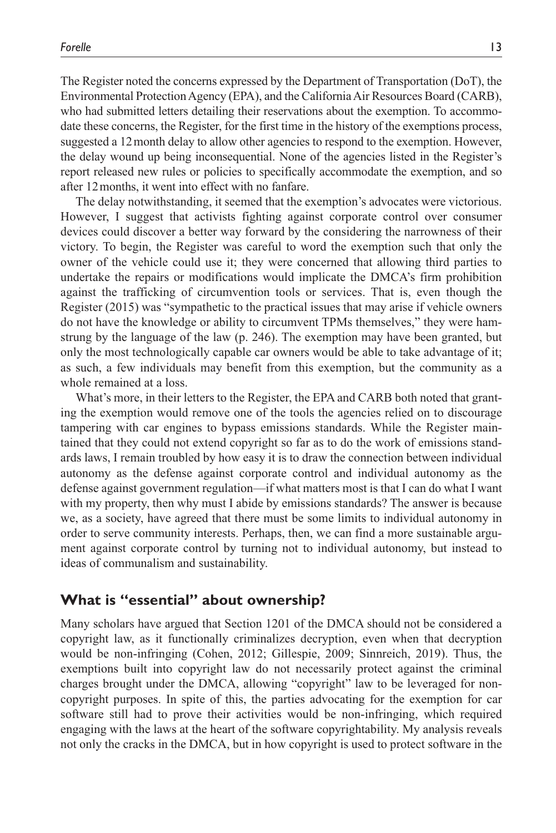The Register noted the concerns expressed by the Department of Transportation (DoT), the Environmental Protection Agency (EPA), and the California Air Resources Board (CARB), who had submitted letters detailing their reservations about the exemption. To accommodate these concerns, the Register, for the first time in the history of the exemptions process, suggested a 12month delay to allow other agencies to respond to the exemption. However, the delay wound up being inconsequential. None of the agencies listed in the Register's report released new rules or policies to specifically accommodate the exemption, and so after 12months, it went into effect with no fanfare.

The delay notwithstanding, it seemed that the exemption's advocates were victorious. However, I suggest that activists fighting against corporate control over consumer devices could discover a better way forward by the considering the narrowness of their victory. To begin, the Register was careful to word the exemption such that only the owner of the vehicle could use it; they were concerned that allowing third parties to undertake the repairs or modifications would implicate the DMCA's firm prohibition against the trafficking of circumvention tools or services. That is, even though the Register (2015) was "sympathetic to the practical issues that may arise if vehicle owners do not have the knowledge or ability to circumvent TPMs themselves," they were hamstrung by the language of the law (p. 246). The exemption may have been granted, but only the most technologically capable car owners would be able to take advantage of it; as such, a few individuals may benefit from this exemption, but the community as a whole remained at a loss.

What's more, in their letters to the Register, the EPA and CARB both noted that granting the exemption would remove one of the tools the agencies relied on to discourage tampering with car engines to bypass emissions standards. While the Register maintained that they could not extend copyright so far as to do the work of emissions standards laws, I remain troubled by how easy it is to draw the connection between individual autonomy as the defense against corporate control and individual autonomy as the defense against government regulation—if what matters most is that I can do what I want with my property, then why must I abide by emissions standards? The answer is because we, as a society, have agreed that there must be some limits to individual autonomy in order to serve community interests. Perhaps, then, we can find a more sustainable argument against corporate control by turning not to individual autonomy, but instead to ideas of communalism and sustainability.

## **What is "essential" about ownership?**

Many scholars have argued that Section 1201 of the DMCA should not be considered a copyright law, as it functionally criminalizes decryption, even when that decryption would be non-infringing (Cohen, 2012; Gillespie, 2009; Sinnreich, 2019). Thus, the exemptions built into copyright law do not necessarily protect against the criminal charges brought under the DMCA, allowing "copyright" law to be leveraged for noncopyright purposes. In spite of this, the parties advocating for the exemption for car software still had to prove their activities would be non-infringing, which required engaging with the laws at the heart of the software copyrightability. My analysis reveals not only the cracks in the DMCA, but in how copyright is used to protect software in the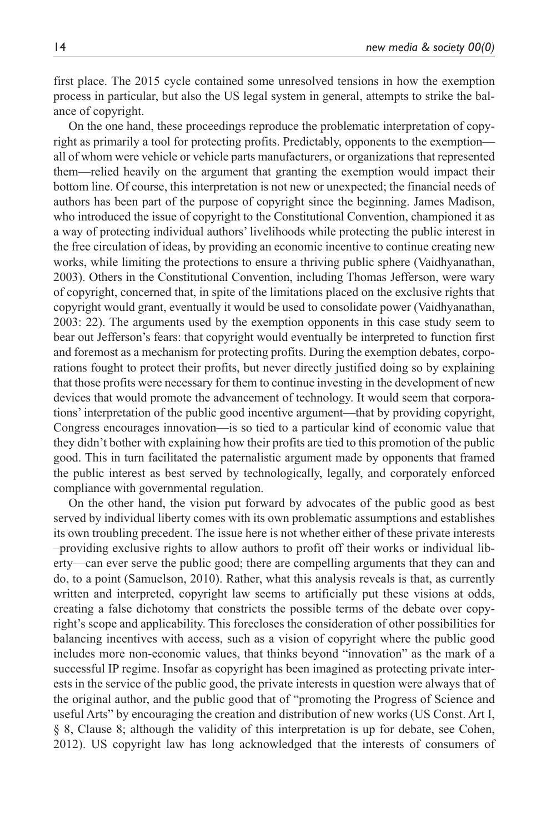first place. The 2015 cycle contained some unresolved tensions in how the exemption process in particular, but also the US legal system in general, attempts to strike the balance of copyright.

On the one hand, these proceedings reproduce the problematic interpretation of copyright as primarily a tool for protecting profits. Predictably, opponents to the exemption all of whom were vehicle or vehicle parts manufacturers, or organizations that represented them—relied heavily on the argument that granting the exemption would impact their bottom line. Of course, this interpretation is not new or unexpected; the financial needs of authors has been part of the purpose of copyright since the beginning. James Madison, who introduced the issue of copyright to the Constitutional Convention, championed it as a way of protecting individual authors' livelihoods while protecting the public interest in the free circulation of ideas, by providing an economic incentive to continue creating new works, while limiting the protections to ensure a thriving public sphere (Vaidhyanathan, 2003). Others in the Constitutional Convention, including Thomas Jefferson, were wary of copyright, concerned that, in spite of the limitations placed on the exclusive rights that copyright would grant, eventually it would be used to consolidate power (Vaidhyanathan, 2003: 22). The arguments used by the exemption opponents in this case study seem to bear out Jefferson's fears: that copyright would eventually be interpreted to function first and foremost as a mechanism for protecting profits. During the exemption debates, corporations fought to protect their profits, but never directly justified doing so by explaining that those profits were necessary for them to continue investing in the development of new devices that would promote the advancement of technology. It would seem that corporations' interpretation of the public good incentive argument—that by providing copyright, Congress encourages innovation—is so tied to a particular kind of economic value that they didn't bother with explaining how their profits are tied to this promotion of the public good. This in turn facilitated the paternalistic argument made by opponents that framed the public interest as best served by technologically, legally, and corporately enforced compliance with governmental regulation.

On the other hand, the vision put forward by advocates of the public good as best served by individual liberty comes with its own problematic assumptions and establishes its own troubling precedent. The issue here is not whether either of these private interests –providing exclusive rights to allow authors to profit off their works or individual liberty—can ever serve the public good; there are compelling arguments that they can and do, to a point (Samuelson, 2010). Rather, what this analysis reveals is that, as currently written and interpreted, copyright law seems to artificially put these visions at odds, creating a false dichotomy that constricts the possible terms of the debate over copyright's scope and applicability. This forecloses the consideration of other possibilities for balancing incentives with access, such as a vision of copyright where the public good includes more non-economic values, that thinks beyond "innovation" as the mark of a successful IP regime. Insofar as copyright has been imagined as protecting private interests in the service of the public good, the private interests in question were always that of the original author, and the public good that of "promoting the Progress of Science and useful Arts" by encouraging the creation and distribution of new works (US Const. Art I, § 8, Clause 8; although the validity of this interpretation is up for debate, see Cohen, 2012). US copyright law has long acknowledged that the interests of consumers of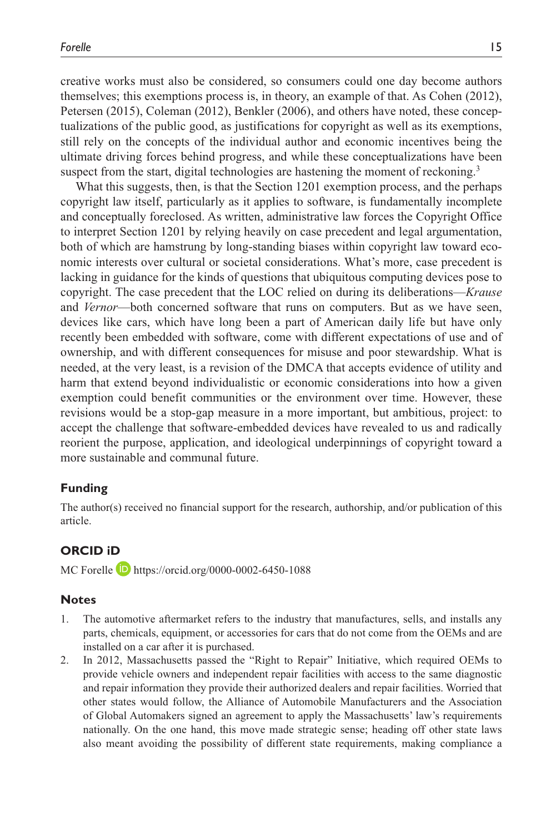creative works must also be considered, so consumers could one day become authors themselves; this exemptions process is, in theory, an example of that. As Cohen (2012), Petersen (2015), Coleman (2012), Benkler (2006), and others have noted, these conceptualizations of the public good, as justifications for copyright as well as its exemptions, still rely on the concepts of the individual author and economic incentives being the ultimate driving forces behind progress, and while these conceptualizations have been suspect from the start, digital technologies are hastening the moment of reckoning.<sup>3</sup>

What this suggests, then, is that the Section 1201 exemption process, and the perhaps copyright law itself, particularly as it applies to software, is fundamentally incomplete and conceptually foreclosed. As written, administrative law forces the Copyright Office to interpret Section 1201 by relying heavily on case precedent and legal argumentation, both of which are hamstrung by long-standing biases within copyright law toward economic interests over cultural or societal considerations. What's more, case precedent is lacking in guidance for the kinds of questions that ubiquitous computing devices pose to copyright. The case precedent that the LOC relied on during its deliberations—*Krause* and *Vernor*—both concerned software that runs on computers. But as we have seen, devices like cars, which have long been a part of American daily life but have only recently been embedded with software, come with different expectations of use and of ownership, and with different consequences for misuse and poor stewardship. What is needed, at the very least, is a revision of the DMCA that accepts evidence of utility and harm that extend beyond individualistic or economic considerations into how a given exemption could benefit communities or the environment over time. However, these revisions would be a stop-gap measure in a more important, but ambitious, project: to accept the challenge that software-embedded devices have revealed to us and radically reorient the purpose, application, and ideological underpinnings of copyright toward a more sustainable and communal future.

#### **Funding**

The author(s) received no financial support for the research, authorship, and/or publication of this article.

## **ORCID iD**

MC Forelle **D** <https://orcid.org/0000-0002-6450-1088>

#### **Notes**

- 1. The automotive aftermarket refers to the industry that manufactures, sells, and installs any parts, chemicals, equipment, or accessories for cars that do not come from the OEMs and are installed on a car after it is purchased.
- 2. In 2012, Massachusetts passed the "Right to Repair" Initiative, which required OEMs to provide vehicle owners and independent repair facilities with access to the same diagnostic and repair information they provide their authorized dealers and repair facilities. Worried that other states would follow, the Alliance of Automobile Manufacturers and the Association of Global Automakers signed an agreement to apply the Massachusetts' law's requirements nationally. On the one hand, this move made strategic sense; heading off other state laws also meant avoiding the possibility of different state requirements, making compliance a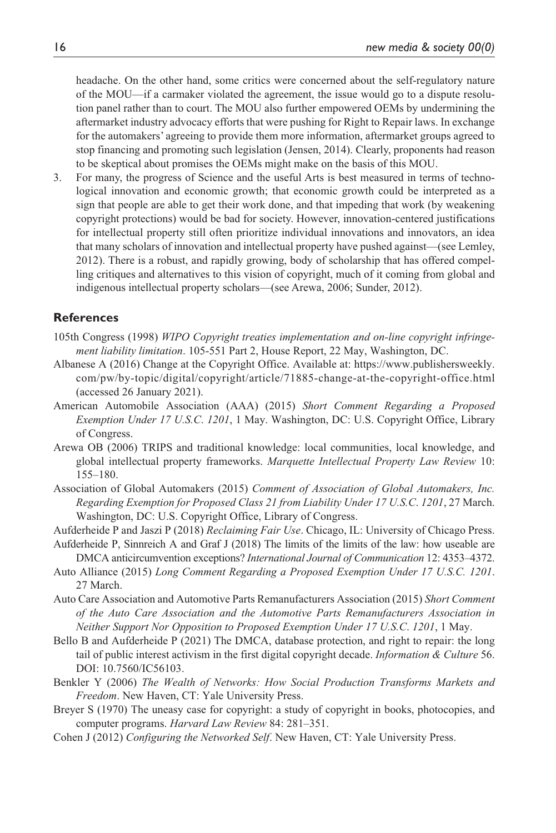headache. On the other hand, some critics were concerned about the self-regulatory nature of the MOU—if a carmaker violated the agreement, the issue would go to a dispute resolution panel rather than to court. The MOU also further empowered OEMs by undermining the aftermarket industry advocacy efforts that were pushing for Right to Repair laws. In exchange for the automakers' agreeing to provide them more information, aftermarket groups agreed to stop financing and promoting such legislation (Jensen, 2014). Clearly, proponents had reason to be skeptical about promises the OEMs might make on the basis of this MOU.

3. For many, the progress of Science and the useful Arts is best measured in terms of technological innovation and economic growth; that economic growth could be interpreted as a sign that people are able to get their work done, and that impeding that work (by weakening copyright protections) would be bad for society. However, innovation-centered justifications for intellectual property still often prioritize individual innovations and innovators, an idea that many scholars of innovation and intellectual property have pushed against—(see Lemley, 2012). There is a robust, and rapidly growing, body of scholarship that has offered compelling critiques and alternatives to this vision of copyright, much of it coming from global and indigenous intellectual property scholars—(see Arewa, 2006; Sunder, 2012).

## **References**

- 105th Congress (1998) *WIPO Copyright treaties implementation and on-line copyright infringement liability limitation*. 105-551 Part 2, House Report, 22 May, Washington, DC.
- Albanese A (2016) Change at the Copyright Office. Available at: [https://www.publishersweekly.](https://www.publishersweekly.com/pw/by-topic/digital/copyright/article/71885-change-at-the-copyright-office.html) [com/pw/by-topic/digital/copyright/article/71885-change-at-the-copyright-office.html](https://www.publishersweekly.com/pw/by-topic/digital/copyright/article/71885-change-at-the-copyright-office.html) (accessed 26 January 2021).
- American Automobile Association (AAA) (2015) *Short Comment Regarding a Proposed Exemption Under 17 U.S.C*. *1201*, 1 May. Washington, DC: U.S. Copyright Office, Library of Congress.
- Arewa OB (2006) TRIPS and traditional knowledge: local communities, local knowledge, and global intellectual property frameworks. *Marquette Intellectual Property Law Review* 10: 155–180.
- Association of Global Automakers (2015) *Comment of Association of Global Automakers, Inc. Regarding Exemption for Proposed Class 21 from Liability Under 17 U.S.C*. *1201*, 27 March. Washington, DC: U.S. Copyright Office, Library of Congress.
- Aufderheide P and Jaszi P (2018) *Reclaiming Fair Use*. Chicago, IL: University of Chicago Press.
- Aufderheide P, Sinnreich A and Graf J (2018) The limits of the limits of the law: how useable are DMCA anticircumvention exceptions? *International Journal of Communication* 12: 4353–4372.
- Auto Alliance (2015) *Long Comment Regarding a Proposed Exemption Under 17 U.S.C. 1201*. 27 March.
- Auto Care Association and Automotive Parts Remanufacturers Association (2015) *Short Comment of the Auto Care Association and the Automotive Parts Remanufacturers Association in Neither Support Nor Opposition to Proposed Exemption Under 17 U.S.C*. *1201*, 1 May.
- Bello B and Aufderheide P (2021) The DMCA, database protection, and right to repair: the long tail of public interest activism in the first digital copyright decade. *Information & Culture* 56. DOI: 10.7560/IC56103.
- Benkler Y (2006) *The Wealth of Networks: How Social Production Transforms Markets and Freedom*. New Haven, CT: Yale University Press.
- Breyer S (1970) The uneasy case for copyright: a study of copyright in books, photocopies, and computer programs. *Harvard Law Review* 84: 281–351.
- Cohen J (2012) *Configuring the Networked Self*. New Haven, CT: Yale University Press.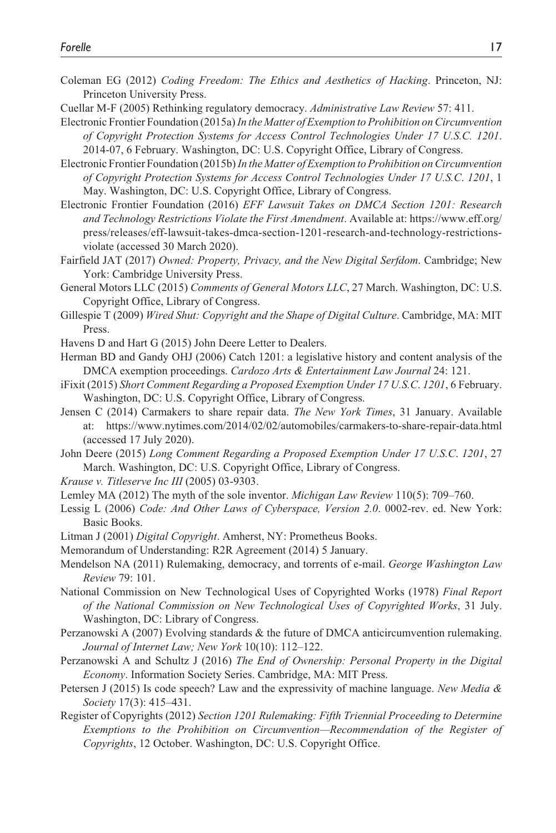- Coleman EG (2012) *Coding Freedom: The Ethics and Aesthetics of Hacking*. Princeton, NJ: Princeton University Press.
- Cuellar M-F (2005) Rethinking regulatory democracy. *Administrative Law Review* 57: 411.
- Electronic Frontier Foundation (2015a) *In the Matter of Exemption to Prohibition on Circumvention of Copyright Protection Systems for Access Control Technologies Under 17 U.S.C. 1201*. 2014-07, 6 February. Washington, DC: U.S. Copyright Office, Library of Congress.
- Electronic Frontier Foundation (2015b) *In the Matter of Exemption to Prohibition on Circumvention of Copyright Protection Systems for Access Control Technologies Under 17 U.S.C*. *1201*, 1 May. Washington, DC: U.S. Copyright Office, Library of Congress.
- Electronic Frontier Foundation (2016) *EFF Lawsuit Takes on DMCA Section 1201: Research and Technology Restrictions Violate the First Amendment*. Available at: [https://www.eff.org/](https://www.eff.org/press/releases/eff-lawsuit-takes-dmca-section-1201-research-and-technology-restrictions-violate) [press/releases/eff-lawsuit-takes-dmca-section-1201-research-and-technology-restrictions](https://www.eff.org/press/releases/eff-lawsuit-takes-dmca-section-1201-research-and-technology-restrictions-violate)[violate](https://www.eff.org/press/releases/eff-lawsuit-takes-dmca-section-1201-research-and-technology-restrictions-violate) (accessed 30 March 2020).
- Fairfield JAT (2017) *Owned: Property, Privacy, and the New Digital Serfdom*. Cambridge; New York: Cambridge University Press.
- General Motors LLC (2015) *Comments of General Motors LLC*, 27 March. Washington, DC: U.S. Copyright Office, Library of Congress.
- Gillespie T (2009) *Wired Shut: Copyright and the Shape of Digital Culture*. Cambridge, MA: MIT Press.
- Havens D and Hart G (2015) John Deere Letter to Dealers.
- Herman BD and Gandy OHJ (2006) Catch 1201: a legislative history and content analysis of the DMCA exemption proceedings. *Cardozo Arts & Entertainment Law Journal* 24: 121.
- iFixit (2015) *Short Comment Regarding a Proposed Exemption Under 17 U.S.C*. *1201*, 6 February. Washington, DC: U.S. Copyright Office, Library of Congress.
- Jensen C (2014) Carmakers to share repair data. *The New York Times*, 31 January. Available at: <https://www.nytimes.com/2014/02/02/automobiles/carmakers-to-share-repair-data.html> (accessed 17 July 2020).
- John Deere (2015) *Long Comment Regarding a Proposed Exemption Under 17 U.S.C*. *1201*, 27 March. Washington, DC: U.S. Copyright Office, Library of Congress.
- *Krause v. Titleserve Inc III* (2005) 03-9303.
- Lemley MA (2012) The myth of the sole inventor. *Michigan Law Review* 110(5): 709–760.
- Lessig L (2006) *Code: And Other Laws of Cyberspace, Version 2.0*. 0002-rev. ed. New York: Basic Books.
- Litman J (2001) *Digital Copyright*. Amherst, NY: Prometheus Books.
- Memorandum of Understanding: R2R Agreement (2014) 5 January.
- Mendelson NA (2011) Rulemaking, democracy, and torrents of e-mail. *George Washington Law Review* 79: 101.
- National Commission on New Technological Uses of Copyrighted Works (1978) *Final Report of the National Commission on New Technological Uses of Copyrighted Works*, 31 July. Washington, DC: Library of Congress.
- Perzanowski A (2007) Evolving standards & the future of DMCA anticircumvention rulemaking. *Journal of Internet Law; New York* 10(10): 112–122.
- Perzanowski A and Schultz J (2016) *The End of Ownership: Personal Property in the Digital Economy*. Information Society Series. Cambridge, MA: MIT Press.
- Petersen J (2015) Is code speech? Law and the expressivity of machine language. *New Media & Society* 17(3): 415–431.
- Register of Copyrights (2012) *Section 1201 Rulemaking: Fifth Triennial Proceeding to Determine Exemptions to the Prohibition on Circumvention—Recommendation of the Register of Copyrights*, 12 October. Washington, DC: U.S. Copyright Office.